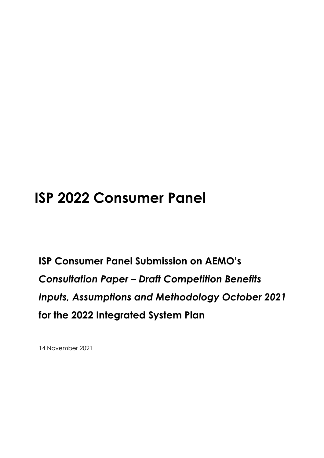# **ISP 2022 Consumer Panel**

**ISP Consumer Panel Submission on AEMO's**  *Consultation Paper – Draft Competition Benefits Inputs, Assumptions and Methodology October 2021* **for the 2022 Integrated System Plan**

14 November 2021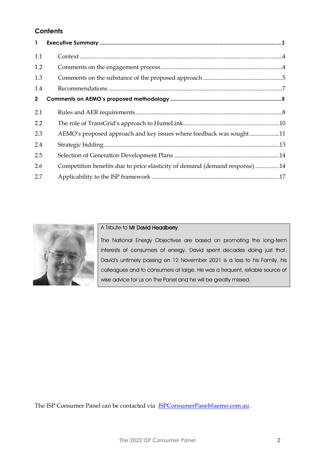# **Contents**

| $\mathbf{1}$ |                                                                             |
|--------------|-----------------------------------------------------------------------------|
| 1.1          |                                                                             |
| 1.2          |                                                                             |
| 1.3          |                                                                             |
| 1.4          |                                                                             |
| $\mathbf{2}$ |                                                                             |
| 2.1          |                                                                             |
| 2.2          |                                                                             |
| 2.3          | AEMO's proposed approach and key issues where feedback was sought11         |
| 2.4          |                                                                             |
| 2.5          |                                                                             |
| 2.6          | Competition benefits due to price elasticity of demand (demand response) 14 |
| 2.7          |                                                                             |



#### A Tribute to Mr David Headberry

The National Energy Objectives are based on promoting the long-term interests of consumers of energy. David spent decades doing just that. David's untimely passing on 12 November 2021 is a loss to his Family, his colleagues and to consumers at large. He was a frequent, reliable source of wise advice for us on The Panel and he will be greatly missed.

The ISP Consumer Panel can be contacted via [ISPConsumerPanel@aemo.com.au.](mailto:ISPConsumerPanel@aemo.com.au)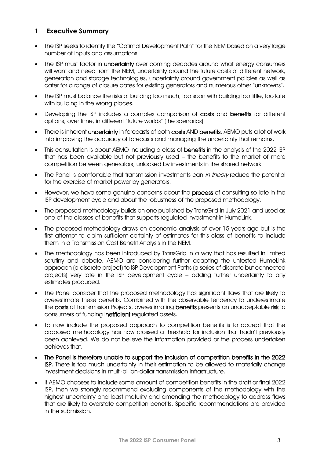### <span id="page-2-0"></span>**1 Executive Summary**

- The ISP seeks to identify the "Optimal Development Path" for the NEM based on a very large number of inputs and assumptions.
- The ISP must factor in **uncertainty** over coming decades around what energy consumers will want and need from the NEM, uncertainty around the future costs of different network, generation and storage technologies, uncertainty around government policies as well as cater for a range of closure dates for existing generators and numerous other "unknowns".
- The ISP must balance the risks of building too much, too soon with building too little, too late with building in the wrong places.
- Developing the ISP includes a complex comparison of costs and benefits for different options, over time, in different "future worlds" (the scenarios).
- There is inherent uncertainty in forecasts of both costs AND benefits. AEMO puts a lot of work into improving the accuracy of forecasts and managing the uncertainty that remains.
- This consultation is about AEMO including a class of benefits in the analysis of the 2022 ISP that has been available but not previously used – the benefits to the market of more competition between generators, unlocked by investments in the shared network.
- The Panel is comfortable that transmission investments can in theory reduce the potential for the exercise of market power by generators.
- However, we have some genuine concerns about the process of consulting so late in the ISP development cycle and about the robustness of the proposed methodology.
- The proposed methodology builds on one published by TransGrid in July 2021 and used as one of the classes of benefits that supports regulated investment in HumeLink.
- The proposed methodology draws on economic analysis of over 15 years ago but is the first attempt to claim sufficient certainty of estimates for this class of benefits to include them in a Transmission Cost Benefit Analysis in the NEM.
- The methodology has been introduced by TransGrid in a way that has resulted in limited scrutiny and debate. AEMO are considering further adapting the untested HumeLink approach (a discrete project) to ISP Development Paths (a series of discrete but connected projects) very late in the ISP development cycle – adding further uncertainty to any estimates produced.
- The Panel consider that the proposed methodology has significant flaws that are likely to overestimate these benefits. Combined with the observable tendency to underestimate the costs of Transmission Projects, overestimating benefits presents an unacceptable risk to consumers of funding inefficient regulated assets.
- To now include the proposed approach to competition benefits is to accept that the proposed methodology has now crossed a threshold for inclusion that hadn't previously been achieved. We do not believe the information provided or the process undertaken achieves that.
- The Panel is therefore unable to support the inclusion of competition benefits in the 2022 ISP. There is too much uncertainty in their estimation to be allowed to materially change investment decisions in multi-billion-dollar transmission infrastructure.
- If AEMO chooses to include some amount of competition benefits in the draft or final 2022 ISP, then we strongly recommend excluding components of the methodology with the highest uncertainty and least maturity and amending the methodology to address flaws that are likely to overstate competition benefits. Specific recommendations are provided in the submission.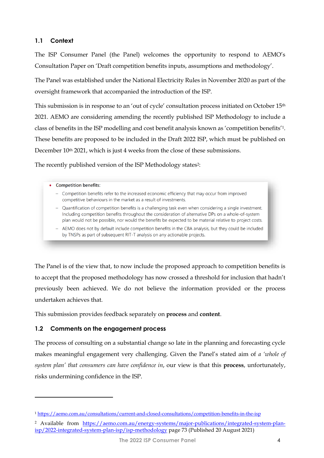#### <span id="page-3-0"></span>**1.1 Context**

The ISP Consumer Panel (the Panel) welcomes the opportunity to respond to AEMO's Consultation Paper on 'Draft competition benefits inputs, assumptions and methodology'.

The Panel was established under the National Electricity Rules in November 2020 as part of the oversight framework that accompanied the introduction of the ISP.

This submission is in response to an 'out of cycle' consultation process initiated on October 15<sup>th</sup> 2021. AEMO are considering amending the recently published ISP Methodology to include a class of benefits in the ISP modelling and cost benefit analysis known as 'competition benefits'1. These benefits are proposed to be included in the Draft 2022 ISP, which must be published on December 10<sup>th</sup> 2021, which is just 4 weeks from the close of these submissions.

The recently published version of the ISP Methodology states<sup>2</sup>:

#### • Competition benefits:

- Competition benefits refer to the increased economic efficiency that may occur from improved competitive behaviours in the market as a result of investments.
- Quantification of competition benefits is a challenging task even when considering a single investment. Including competition benefits throughout the consideration of alternative DPs on a whole-of-system plan would not be possible, nor would the benefits be expected to be material relative to project costs.
- AEMO does not by default include competition benefits in the CBA analysis, but they could be included by TNSPs as part of subsequent RIT-T analysis on any actionable projects.

The Panel is of the view that, to now include the proposed approach to competition benefits is to accept that the proposed methodology has now crossed a threshold for inclusion that hadn't previously been achieved. We do not believe the information provided or the process undertaken achieves that.

This submission provides feedback separately on **process** and **content**.

### <span id="page-3-1"></span>**1.2 Comments on the engagement process**

The process of consulting on a substantial change so late in the planning and forecasting cycle makes meaningful engagement very challenging. Given the Panel's stated aim of *a 'whole of system plan' that consumers can have confidence in*, our view is that this **process**, unfortunately, risks undermining confidence in the ISP.

<sup>1</sup> <https://aemo.com.au/consultations/current-and-closed-consultations/competition-benefits-in-the-isp>

<sup>&</sup>lt;sup>2</sup> Available from [https://aemo.com.au/energy-systems/major-publications/integrated-system-plan](https://aemo.com.au/energy-systems/major-publications/integrated-system-plan-isp/2022-integrated-system-plan-isp/isp-methodology)[isp/2022-integrated-system-plan-isp/isp-methodology](https://aemo.com.au/energy-systems/major-publications/integrated-system-plan-isp/2022-integrated-system-plan-isp/isp-methodology) page 73 (Published 20 August 2021)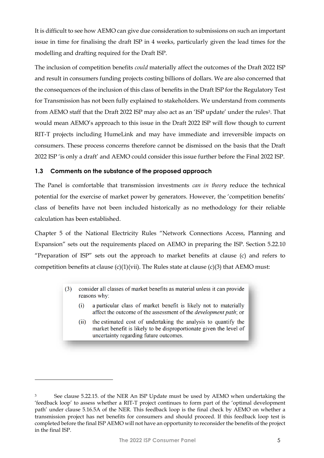It is difficult to see how AEMO can give due consideration to submissions on such an important issue in time for finalising the draft ISP in 4 weeks, particularly given the lead times for the modelling and drafting required for the Draft ISP.

The inclusion of competition benefits *could* materially affect the outcomes of the Draft 2022 ISP and result in consumers funding projects costing billions of dollars. We are also concerned that the consequences of the inclusion of this class of benefits in the Draft ISP for the Regulatory Test for Transmission has not been fully explained to stakeholders. We understand from comments from AEMO staff that the Draft 2022 ISP may also act as an 'ISP update' under the rules<sup>3</sup>. That would mean AEMO's approach to this issue in the Draft 2022 ISP will flow though to current RIT-T projects including HumeLink and may have immediate and irreversible impacts on consumers. These process concerns therefore cannot be dismissed on the basis that the Draft 2022 ISP 'is only a draft' and AEMO could consider this issue further before the Final 2022 ISP.

#### <span id="page-4-0"></span>**1.3 Comments on the substance of the proposed approach**

The Panel is comfortable that transmission investments *can in theory* reduce the technical potential for the exercise of market power by generators. However, the 'competition benefits' class of benefits have not been included historically as no methodology for their reliable calculation has been established.

Chapter 5 of the National Electricity Rules "Network Connections Access, Planning and Expansion" sets out the requirements placed on AEMO in preparing the ISP. Section 5.22.10 "Preparation of ISP" sets out the approach to market benefits at clause (c) and refers to competition benefits at clause  $(c)(1)(\text{vii})$ . The Rules state at clause  $(c)(3)$  that AEMO must:

- consider all classes of market benefits as material unless it can provide  $(3)$ reasons why:
	- $(i)$ a particular class of market benefit is likely not to materially affect the outcome of the assessment of the *development path*; or
	- $(ii)$ the estimated cost of undertaking the analysis to quantify the market benefit is likely to be disproportionate given the level of uncertainty regarding future outcomes.

<sup>&</sup>lt;sup>3</sup> See clause 5.22.15. of the NER An ISP Update must be used by AEMO when undertaking the 'feedback loop' to assess whether a RIT-T project continues to form part of the 'optimal development path' under clause 5.16.5A of the NER. This feedback loop is the final check by AEMO on whether a transmission project has net benefits for consumers and should proceed. If this feedback loop test is completed before the final ISP AEMO will not have an opportunity to reconsider the benefits of the project in the final ISP.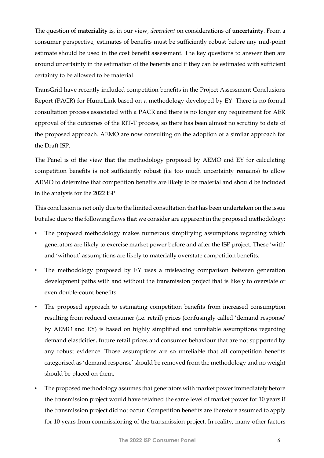The question of **materiality** is, in our view, *dependent* on considerations of **uncertainty**. From a consumer perspective, estimates of benefits must be sufficiently robust before any mid-point estimate should be used in the cost benefit assessment. The key questions to answer then are around uncertainty in the estimation of the benefits and if they can be estimated with sufficient certainty to be allowed to be material.

TransGrid have recently included competition benefits in the Project Assessment Conclusions Report (PACR) for HumeLink based on a methodology developed by EY. There is no formal consultation process associated with a PACR and there is no longer any requirement for AER approval of the outcomes of the RIT-T process, so there has been almost no scrutiny to date of the proposed approach. AEMO are now consulting on the adoption of a similar approach for the Draft ISP.

The Panel is of the view that the methodology proposed by AEMO and EY for calculating competition benefits is not sufficiently robust (i.e too much uncertainty remains) to allow AEMO to determine that competition benefits are likely to be material and should be included in the analysis for the 2022 ISP.

This conclusion is not only due to the limited consultation that has been undertaken on the issue but also due to the following flaws that we consider are apparent in the proposed methodology:

- The proposed methodology makes numerous simplifying assumptions regarding which generators are likely to exercise market power before and after the ISP project. These 'with' and 'without' assumptions are likely to materially overstate competition benefits.
- The methodology proposed by EY uses a misleading comparison between generation development paths with and without the transmission project that is likely to overstate or even double-count benefits.
- The proposed approach to estimating competition benefits from increased consumption resulting from reduced consumer (i.e. retail) prices (confusingly called 'demand response' by AEMO and EY) is based on highly simplified and unreliable assumptions regarding demand elasticities, future retail prices and consumer behaviour that are not supported by any robust evidence. Those assumptions are so unreliable that all competition benefits categorised as 'demand response' should be removed from the methodology and no weight should be placed on them.
- The proposed methodology assumes that generators with market power immediately before the transmission project would have retained the same level of market power for 10 years if the transmission project did not occur. Competition benefits are therefore assumed to apply for 10 years from commissioning of the transmission project. In reality, many other factors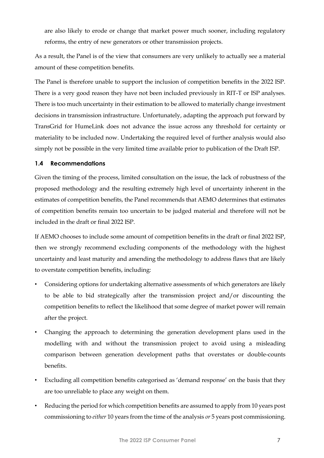are also likely to erode or change that market power much sooner, including regulatory reforms, the entry of new generators or other transmission projects.

As a result, the Panel is of the view that consumers are very unlikely to actually see a material amount of these competition benefits.

The Panel is therefore unable to support the inclusion of competition benefits in the 2022 ISP. There is a very good reason they have not been included previously in RIT-T or ISP analyses. There is too much uncertainty in their estimation to be allowed to materially change investment decisions in transmission infrastructure. Unfortunately, adapting the approach put forward by TransGrid for HumeLink does not advance the issue across any threshold for certainty or materiality to be included now. Undertaking the required level of further analysis would also simply not be possible in the very limited time available prior to publication of the Draft ISP.

#### <span id="page-6-0"></span>**1.4 Recommendations**

Given the timing of the process, limited consultation on the issue, the lack of robustness of the proposed methodology and the resulting extremely high level of uncertainty inherent in the estimates of competition benefits, the Panel recommends that AEMO determines that estimates of competition benefits remain too uncertain to be judged material and therefore will not be included in the draft or final 2022 ISP.

If AEMO chooses to include some amount of competition benefits in the draft or final 2022 ISP, then we strongly recommend excluding components of the methodology with the highest uncertainty and least maturity and amending the methodology to address flaws that are likely to overstate competition benefits, including:

- Considering options for undertaking alternative assessments of which generators are likely to be able to bid strategically after the transmission project and/or discounting the competition benefits to reflect the likelihood that some degree of market power will remain after the project.
- Changing the approach to determining the generation development plans used in the modelling with and without the transmission project to avoid using a misleading comparison between generation development paths that overstates or double-counts benefits.
- Excluding all competition benefits categorised as 'demand response' on the basis that they are too unreliable to place any weight on them.
- Reducing the period for which competition benefits are assumed to apply from 10 years post commissioning to *either* 10 years from the time of the analysis *or* 5 years post commissioning.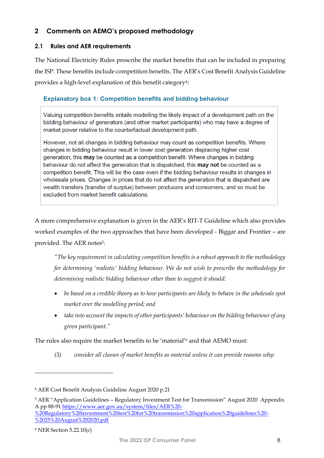# <span id="page-7-0"></span>**2 Comments on AEMO's proposed methodology**

#### <span id="page-7-1"></span>**2.1 Rules and AER requirements**

The National Electricity Rules prescribe the market benefits that can be included in preparing the ISP. These benefits include competition benefits. The AER's Cost Benefit Analysis Guideline provides a high-level explanation of this benefit category<sup>4</sup>:

## **Explanatory box 1: Competition benefits and bidding behaviour**

Valuing competition benefits entails modelling the likely impact of a development path on the bidding behaviour of generators (and other market participants) who may have a degree of market power relative to the counterfactual development path.

However, not all changes in bidding behaviour may count as competition benefits. Where changes in bidding behaviour result in lower cost generation displacing higher cost generation, this may be counted as a competition benefit. Where changes in bidding behaviour do not affect the generation that is dispatched, this **may not** be counted as a competition benefit. This will be the case even if the bidding behaviour results in changes in wholesale prices. Changes in prices that do not affect the generation that is dispatched are wealth transfers (transfer of surplus) between producers and consumers, and so must be excluded from market benefit calculations.

A more comprehensive explanation is given in the AER's RIT-T Guideline which also provides worked examples of the two approaches that have been developed - Biggar and Frontier – are provided. The AER notes<sup>5</sup>:

*"The key requirement in calculating competition benefits is a robust approach to the methodology for determining 'realistic' bidding behaviour. We do not wish to prescribe the methodology for determining realistic bidding behaviour other than to suggest it should:*

- *be based on a credible theory as to how participants are likely to behave in the wholesale spot market over the modelling period; and*
- *take into account the impacts of other participants' behaviour on the bidding behaviour of any given participant."*

The rules also require the market benefits to be 'material'<sup>6</sup> and that AEMO must:

*(3) consider all classes of market benefits as material unless it can provide reasons why:* 

<sup>4</sup> AER Cost Benefit Analysis Guideline August 2020 p.21

<sup>5</sup> AER "Application Guidelines – Regulatory Investment Test for Transmission" August 2020 Appendix A pp 88-9[1 https://www.aer.gov.au/system/files/AER%20-](https://www.aer.gov.au/system/files/AER%20-%20Regulatory%20investment%20test%20for%20transmission%20application%20guidelines%20-%2025%20August%202020.pdf) [%20Regulatory%20investment%20test%20for%20transmission%20application%20guidelines%20-](https://www.aer.gov.au/system/files/AER%20-%20Regulatory%20investment%20test%20for%20transmission%20application%20guidelines%20-%2025%20August%202020.pdf)

[<sup>%2025%20</sup>August%202020.pdf](https://www.aer.gov.au/system/files/AER%20-%20Regulatory%20investment%20test%20for%20transmission%20application%20guidelines%20-%2025%20August%202020.pdf)

<sup>6</sup> NER Section 5.22.10(c)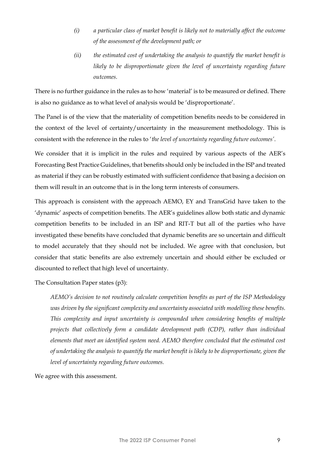- *(i) a particular class of market benefit is likely not to materially affect the outcome of the assessment of the development path; or*
- *(ii) the estimated cost of undertaking the analysis to quantify the market benefit is*  likely to be disproportionate given the level of uncertainty regarding future *outcomes.*

There is no further guidance in the rules as to how 'material' is to be measured or defined. There is also no guidance as to what level of analysis would be 'disproportionate'.

The Panel is of the view that the materiality of competition benefits needs to be considered in the context of the level of certainty/uncertainty in the measurement methodology. This is consistent with the reference in the rules to '*the level of uncertainty regarding future outcomes'*.

We consider that it is implicit in the rules and required by various aspects of the AER's Forecasting Best Practice Guidelines, that benefits should only be included in the ISP and treated as material if they can be robustly estimated with sufficient confidence that basing a decision on them will result in an outcome that is in the long term interests of consumers.

This approach is consistent with the approach AEMO, EY and TransGrid have taken to the 'dynamic' aspects of competition benefits. The AER's guidelines allow both static and dynamic competition benefits to be included in an ISP and RIT-T but all of the parties who have investigated these benefits have concluded that dynamic benefits are so uncertain and difficult to model accurately that they should not be included. We agree with that conclusion, but consider that static benefits are also extremely uncertain and should either be excluded or discounted to reflect that high level of uncertainty.

The Consultation Paper states (p3):

*AEMO's decision to not routinely calculate competition benefits as part of the ISP Methodology was driven by the significant complexity and uncertainty associated with modelling these benefits. This complexity and input uncertainty is compounded when considering benefits of multiple projects that collectively form a candidate development path (CDP), rather than individual elements that meet an identified system need. AEMO therefore concluded that the estimated cost of undertaking the analysis to quantify the market benefit is likely to be disproportionate, given the level of uncertainty regarding future outcomes.*

We agree with this assessment.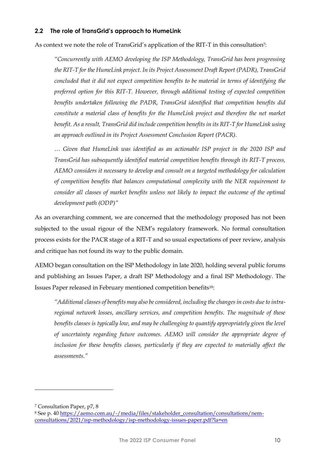#### <span id="page-9-0"></span>**2.2 The role of TransGrid's approach to HumeLink**

As context we note the role of TransGrid's application of the RIT-T in this consultation<sup>7</sup>:

*"Concurrently with AEMO developing the ISP Methodology, TransGrid has been progressing the RIT-T for the HumeLink project. In its Project Assessment Draft Report (PADR), TransGrid concluded that it did not expect competition benefits to be material in terms of identifying the preferred option for this RIT-T. However, through additional testing of expected competition benefits undertaken following the PADR, TransGrid identified that competition benefits did constitute a material class of benefits for the HumeLink project and therefore the net market benefit. As a result, TransGrid did include competition benefits in its RIT-T for HumeLink using an approach outlined in its Project Assessment Conclusion Report (PACR).*

*… Given that HumeLink was identified as an actionable ISP project in the 2020 ISP and TransGrid has subsequently identified material competition benefits through its RIT-T process, AEMO considers it necessary to develop and consult on a targeted methodology for calculation of competition benefits that balances computational complexity with the NER requirement to consider all classes of market benefits unless not likely to impact the outcome of the optimal development path (ODP)"*

As an overarching comment, we are concerned that the methodology proposed has not been subjected to the usual rigour of the NEM's regulatory framework. No formal consultation process exists for the PACR stage of a RIT-T and so usual expectations of peer review, analysis and critique has not found its way to the public domain.

AEMO began consultation on the ISP Methodology in late 2020, holding several public forums and publishing an Issues Paper, a draft ISP Methodology and a final ISP Methodology. The Issues Paper released in February mentioned competition benefits18:

*"Additional classes of benefits may also be considered, including the changes in costs due to intraregional network losses, ancillary services, and competition benefits. The magnitude of these benefits classes is typically low, and may be challenging to quantify appropriately given the level of uncertainty regarding future outcomes. AEMO will consider the appropriate degree of*  inclusion for these benefits classes, particularly if they are expected to materially affect the *assessments."*

<sup>7</sup> Consultation Paper, p7, 8

<sup>8</sup> See p. 40 [https://aemo.com.au/-/media/files/stakeholder\\_consultation/consultations/nem](https://aemo.com.au/-/media/files/stakeholder_consultation/consultations/nem-consultations/2021/isp-methodology/isp-methodology-issues-paper.pdf?la=en)[consultations/2021/isp-methodology/isp-methodology-issues-paper.pdf?la=en](https://aemo.com.au/-/media/files/stakeholder_consultation/consultations/nem-consultations/2021/isp-methodology/isp-methodology-issues-paper.pdf?la=en)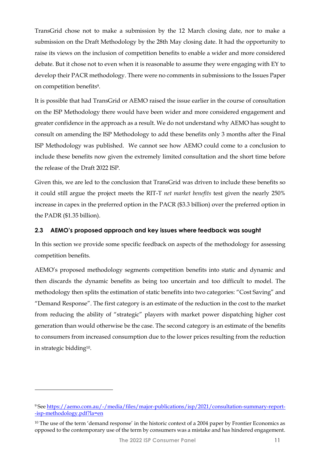TransGrid chose not to make a submission by the 12 March closing date, nor to make a submission on the Draft Methodology by the 28th May closing date. It had the opportunity to raise its views on the inclusion of competition benefits to enable a wider and more considered debate. But it chose not to even when it is reasonable to assume they were engaging with EY to develop their PACR methodology. There were no comments in submissions to the Issues Paper on competition benefits9.

It is possible that had TransGrid or AEMO raised the issue earlier in the course of consultation on the ISP Methodology there would have been wider and more considered engagement and greater confidence in the approach as a result. We do not understand why AEMO has sought to consult on amending the ISP Methodology to add these benefits only 3 months after the Final ISP Methodology was published. We cannot see how AEMO could come to a conclusion to include these benefits now given the extremely limited consultation and the short time before the release of the Draft 2022 ISP.

Given this, we are led to the conclusion that TransGrid was driven to include these benefits so it could still argue the project meets the RIT-T *net market benefits* test given the nearly 250% increase in capex in the preferred option in the PACR (\$3.3 billion) over the preferred option in the PADR (\$1.35 billion).

### <span id="page-10-0"></span>**2.3 AEMO's proposed approach and key issues where feedback was sought**

In this section we provide some specific feedback on aspects of the methodology for assessing competition benefits.

AEMO's proposed methodology segments competition benefits into static and dynamic and then discards the dynamic benefits as being too uncertain and too difficult to model. The methodology then splits the estimation of static benefits into two categories: "Cost Saving" and "Demand Response". The first category is an estimate of the reduction in the cost to the market from reducing the ability of "strategic" players with market power dispatching higher cost generation than would otherwise be the case. The second category is an estimate of the benefits to consumers from increased consumption due to the lower prices resulting from the reduction in strategic bidding10.

<sup>9</sup> See [https://aemo.com.au/-/media/files/major-publications/isp/2021/consultation-summary-report-](https://aemo.com.au/-/media/files/major-publications/isp/2021/consultation-summary-report--isp-methodology.pdf?la=en) [-isp-methodology.pdf?la=en](https://aemo.com.au/-/media/files/major-publications/isp/2021/consultation-summary-report--isp-methodology.pdf?la=en)

<sup>&</sup>lt;sup>10</sup> The use of the term 'demand response' in the historic context of a 2004 paper by Frontier Economics as opposed to the contemporary use of the term by consumers was a mistake and has hindered engagement.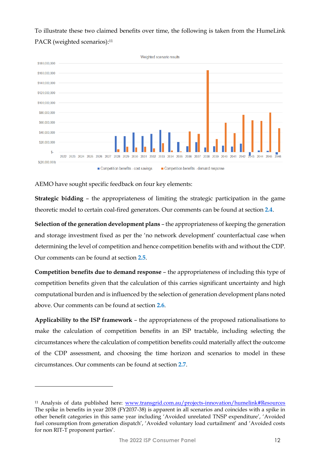To illustrate these two claimed benefits over time, the following is taken from the HumeLink PACR (weighted scenarios): 11



AEMO have sought specific feedback on four key elements:

**Strategic bidding** – the appropriateness of limiting the strategic participation in the game theoretic model to certain coal-fired generators. Our comments can be found at section **[2.4](#page-12-0)**.

**Selection of the generation development plans** – the appropriateness of keeping the generation and storage investment fixed as per the 'no network development' counterfactual case when determining the level of competition and hence competition benefits with and without the CDP. Our comments can be found at section **[2.5](#page-13-0)**.

**Competition benefits due to demand response** – the appropriateness of including this type of competition benefits given that the calculation of this carries significant uncertainty and high computational burden and is influenced by the selection of generation development plans noted above. Our comments can be found at section **[2.6](#page-13-1)**.

**Applicability to the ISP framework** – the appropriateness of the proposed rationalisations to make the calculation of competition benefits in an ISP tractable, including selecting the circumstances where the calculation of competition benefits could materially affect the outcome of the CDP assessment, and choosing the time horizon and scenarios to model in these circumstances. Our comments can be found at section **[2.7](#page-16-0)**.

<sup>11</sup> Analysis of data published here: [www.transgrid.com.au/projects-innovation/humelink#Resources](http://www.transgrid.com.au/projects-innovation/humelink#Resources) The spike in benefits in year 2038 (FY2037-38) is apparent in all scenarios and coincides with a spike in other benefit categories in this same year including 'Avoided unrelated TNSP expenditure', 'Avoided fuel consumption from generation dispatch', 'Avoided voluntary load curtailment' and 'Avoided costs for non RIT-T proponent parties'.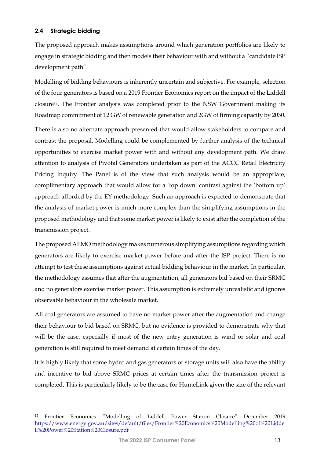#### <span id="page-12-0"></span>**2.4 Strategic bidding**

The proposed approach makes assumptions around which generation portfolios are likely to engage in strategic bidding and then models their behaviour with and without a "candidate ISP development path".

Modelling of bidding behaviours is inherently uncertain and subjective. For example, selection of the four generators is based on a 2019 Frontier Economics report on the impact of the Liddell closure12. The Frontier analysis was completed prior to the NSW Government making its Roadmap commitment of 12 GW of renewable generation and 2GW of firming capacity by 2030.

There is also no alternate approach presented that would allow stakeholders to compare and contrast the proposal. Modelling could be complemented by further analysis of the technical opportunities to exercise market power with and without any development path. We draw attention to analysis of Pivotal Generators undertaken as part of the ACCC Retail Electricity Pricing Inquiry. The Panel is of the view that such analysis would be an appropriate, complimentary approach that would allow for a 'top down' contrast against the 'bottom up' approach afforded by the EY methodology. Such an approach is expected to demonstrate that the analysis of market power is much more complex than the simplifying assumptions in the proposed methodology and that some market power is likely to exist after the completion of the transmission project.

The proposed AEMO methodology makes numerous simplifying assumptions regarding which generators are likely to exercise market power before and after the ISP project. There is no attempt to test these assumptions against actual bidding behaviour in the market. In particular, the methodology assumes that after the augmentation, all generators bid based on their SRMC and no generators exercise market power. This assumption is extremely unrealistic and ignores observable behaviour in the wholesale market.

All coal generators are assumed to have no market power after the augmentation and change their behaviour to bid based on SRMC, but no evidence is provided to demonstrate why that will be the case, especially if most of the new entry generation is wind or solar and coal generation is still required to meet demand at certain times of the day.

It is highly likely that some hydro and gas generators or storage units will also have the ability and incentive to bid above SRMC prices at certain times after the transmission project is completed. This is particularly likely to be the case for HumeLink given the size of the relevant

<sup>12</sup> Frontier Economics "Modelling of Liddell Power Station Closure" December 2019 [https://www.energy.gov.au/sites/default/files/Frontier%20Economics%20Modelling%20of%20Lidde](https://www.energy.gov.au/sites/default/files/Frontier%20Economics%20Modelling%20of%20Liddell%20Power%20Station%20Closure.pdf) [ll%20Power%20Station%20Closure.pdf](https://www.energy.gov.au/sites/default/files/Frontier%20Economics%20Modelling%20of%20Liddell%20Power%20Station%20Closure.pdf)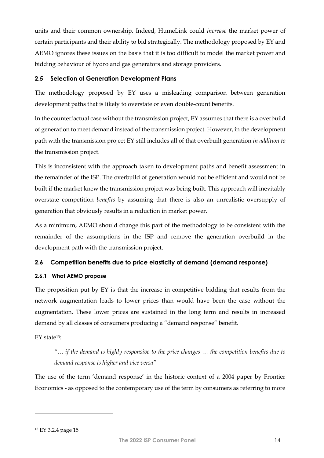units and their common ownership. Indeed, HumeLink could *increase* the market power of certain participants and their ability to bid strategically. The methodology proposed by EY and AEMO ignores these issues on the basis that it is too difficult to model the market power and bidding behaviour of hydro and gas generators and storage providers.

#### <span id="page-13-0"></span>**2.5 Selection of Generation Development Plans**

The methodology proposed by EY uses a misleading comparison between generation development paths that is likely to overstate or even double-count benefits.

In the counterfactual case without the transmission project, EY assumes that there is a overbuild of generation to meet demand instead of the transmission project. However, in the development path with the transmission project EY still includes all of that overbuilt generation *in addition to* the transmission project.

This is inconsistent with the approach taken to development paths and benefit assessment in the remainder of the ISP. The overbuild of generation would not be efficient and would not be built if the market knew the transmission project was being built. This approach will inevitably overstate competition *benefits* by assuming that there is also an unrealistic oversupply of generation that obviously results in a reduction in market power.

As a minimum, AEMO should change this part of the methodology to be consistent with the remainder of the assumptions in the ISP and remove the generation overbuild in the development path with the transmission project.

### <span id="page-13-1"></span>**2.6 Competition benefits due to price elasticity of demand (demand response)**

### **2.6.1 What AEMO propose**

The proposition put by EY is that the increase in competitive bidding that results from the network augmentation leads to lower prices than would have been the case without the augmentation. These lower prices are sustained in the long term and results in increased demand by all classes of consumers producing a "demand response" benefit.

EY state13:

*"… if the demand is highly responsive to the price changes … the competition benefits due to demand response is higher and vice versa"*

The use of the term 'demand response' in the historic context of a 2004 paper by Frontier Economics - as opposed to the contemporary use of the term by consumers as referring to more

<sup>13</sup> EY 3.2.4 page 15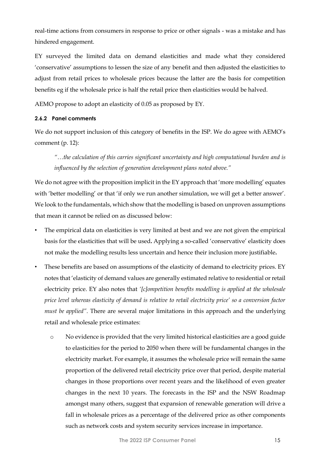real-time actions from consumers in response to price or other signals - was a mistake and has hindered engagement.

EY surveyed the limited data on demand elasticities and made what they considered 'conservative' assumptions to lessen the size of any benefit and then adjusted the elasticities to adjust from retail prices to wholesale prices because the latter are the basis for competition benefits eg if the wholesale price is half the retail price then elasticities would be halved.

AEMO propose to adopt an elasticity of 0.05 as proposed by EY.

### **2.6.2 Panel comments**

We do not support inclusion of this category of benefits in the ISP. We do agree with AEMO's comment (p. 12):

*"…the calculation of this carries significant uncertainty and high computational burden and is influenced by the selection of generation development plans noted above."*

We do not agree with the proposition implicit in the EY approach that 'more modelling' equates with 'better modelling' or that 'if only we run another simulation, we will get a better answer'. We look to the fundamentals, which show that the modelling is based on unproven assumptions that mean it cannot be relied on as discussed below:

- The empirical data on elasticities is very limited at best and we are not given the empirical basis for the elasticities that will be used**.** Applying a so-called 'conservative' elasticity does not make the modelling results less uncertain and hence their inclusion more justifiable**.**
- These benefits are based on assumptions of the elasticity of demand to electricity prices. EY notes that 'elasticity of demand values are generally estimated relative to residential or retail electricity price. EY also notes that *'[c]ompetition benefits modelling is applied at the wholesale price level whereas elasticity of demand is relative to retail electricity price' so a conversion factor must be applied".* There are several major limitations in this approach and the underlying retail and wholesale price estimates:
	- o No evidence is provided that the very limited historical elasticities are a good guide to elasticities for the period to 2050 when there will be fundamental changes in the electricity market. For example, it assumes the wholesale price will remain the same proportion of the delivered retail electricity price over that period, despite material changes in those proportions over recent years and the likelihood of even greater changes in the next 10 years. The forecasts in the ISP and the NSW Roadmap amongst many others, suggest that expansion of renewable generation will drive a fall in wholesale prices as a percentage of the delivered price as other components such as network costs and system security services increase in importance.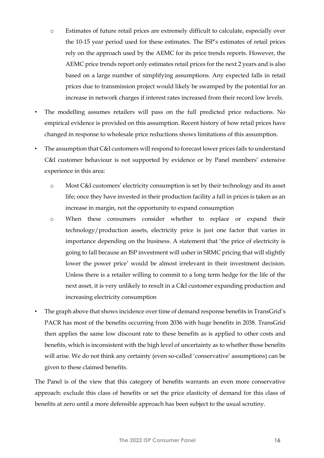- o Estimates of future retail prices are extremely difficult to calculate, especially over the 10-15 year period used for these estimates. The ISP's estimates of retail prices rely on the approach used by the AEMC for its price trends reports. However, the AEMC price trends report only estimates retail prices for the next 2 years and is also based on a large number of simplifying assumptions. Any expected falls in retail prices due to transmission project would likely be swamped by the potential for an increase in network charges if interest rates increased from their record low levels.
- The modelling assumes retailers will pass on the full predicted price reductions. No empirical evidence is provided on this assumption. Recent history of how retail prices have changed in response to wholesale price reductions shows limitations of this assumption.
- The assumption that C&I customers will respond to forecast lower prices fails to understand C&I customer behaviour is not supported by evidence or by Panel members' extensive experience in this area:
	- o Most C&I customers' electricity consumption is set by their technology and its asset life; once they have invested in their production facility a fall in prices is taken as an increase in margin, not the opportunity to expand consumption
	- o When these consumers consider whether to replace or expand their technology/production assets, electricity price is just one factor that varies in importance depending on the business. A statement that 'the price of electricity is going to fall because an ISP investment will usher in SRMC pricing that will slightly lower the power price' would be almost irrelevant in their investment decision. Unless there is a retailer willing to commit to a long term hedge for the life of the next asset, it is very unlikely to result in a C&I customer expanding production and increasing electricity consumption
- The graph above that shows incidence over time of demand response benefits in TransGrid's PACR has most of the benefits occurring from 2036 with huge benefits in 2038. TransGrid then applies the same low discount rate to these benefits as is applied to other costs and benefits, which is inconsistent with the high level of uncertainty as to whether those benefits will arise. We do not think any certainty (even so-called 'conservative' assumptions) can be given to these claimed benefits.

The Panel is of the view that this category of benefits warrants an even more conservative approach: exclude this class of benefits or set the price elasticity of demand for this class of benefits at zero until a more defensible approach has been subject to the usual scrutiny.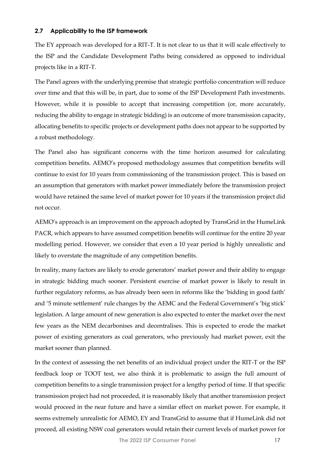#### <span id="page-16-0"></span>**2.7 Applicability to the ISP framework**

The EY approach was developed for a RIT-T. It is not clear to us that it will scale effectively to the ISP and the Candidate Development Paths being considered as opposed to individual projects like in a RIT-T.

The Panel agrees with the underlying premise that strategic portfolio concentration will reduce over time and that this will be, in part, due to some of the ISP Development Path investments. However, while it is possible to accept that increasing competition (or, more accurately, reducing the ability to engage in strategic bidding) is an outcome of more transmission capacity, allocating benefits to specific projects or development paths does not appear to be supported by a robust methodology.

The Panel also has significant concerns with the time horizon assumed for calculating competition benefits. AEMO's proposed methodology assumes that competition benefits will continue to exist for 10 years from commissioning of the transmission project. This is based on an assumption that generators with market power immediately before the transmission project would have retained the same level of market power for 10 years if the transmission project did not occur.

AEMO's approach is an improvement on the approach adopted by TransGrid in the HumeLink PACR, which appears to have assumed competition benefits will continue for the entire 20 year modelling period. However, we consider that even a 10 year period is highly unrealistic and likely to overstate the magnitude of any competition benefits.

In reality, many factors are likely to erode generators' market power and their ability to engage in strategic bidding much sooner. Persistent exercise of market power is likely to result in further regulatory reforms, as has already been seen in reforms like the 'bidding in good faith' and '5 minute settlement' rule changes by the AEMC and the Federal Government's 'big stick' legislation. A large amount of new generation is also expected to enter the market over the next few years as the NEM decarbonises and decentralises. This is expected to erode the market power of existing generators as coal generators, who previously had market power, exit the market sooner than planned.

In the context of assessing the net benefits of an individual project under the RIT-T or the ISP feedback loop or TOOT test, we also think it is problematic to assign the full amount of competition benefits to a single transmission project for a lengthy period of time. If that specific transmission project had not proceeded, it is reasonably likely that another transmission project would proceed in the near future and have a similar effect on market power. For example, it seems extremely unrealistic for AEMO, EY and TransGrid to assume that if HumeLink did not proceed, all existing NSW coal generators would retain their current levels of market power for